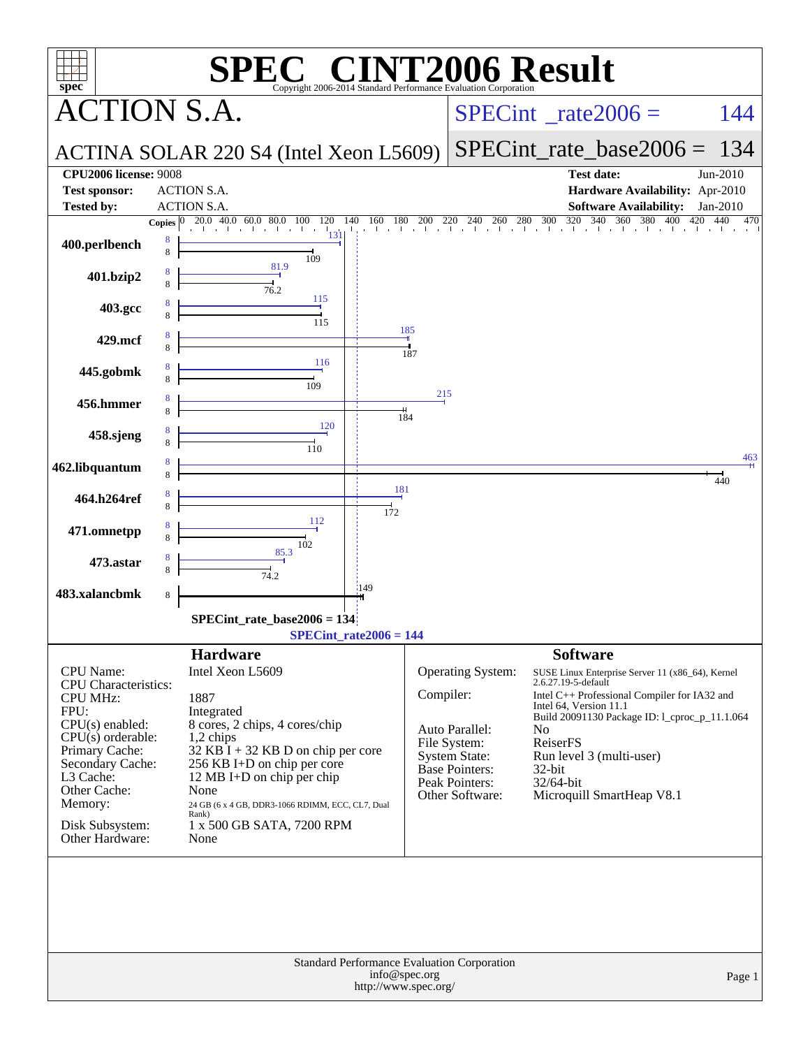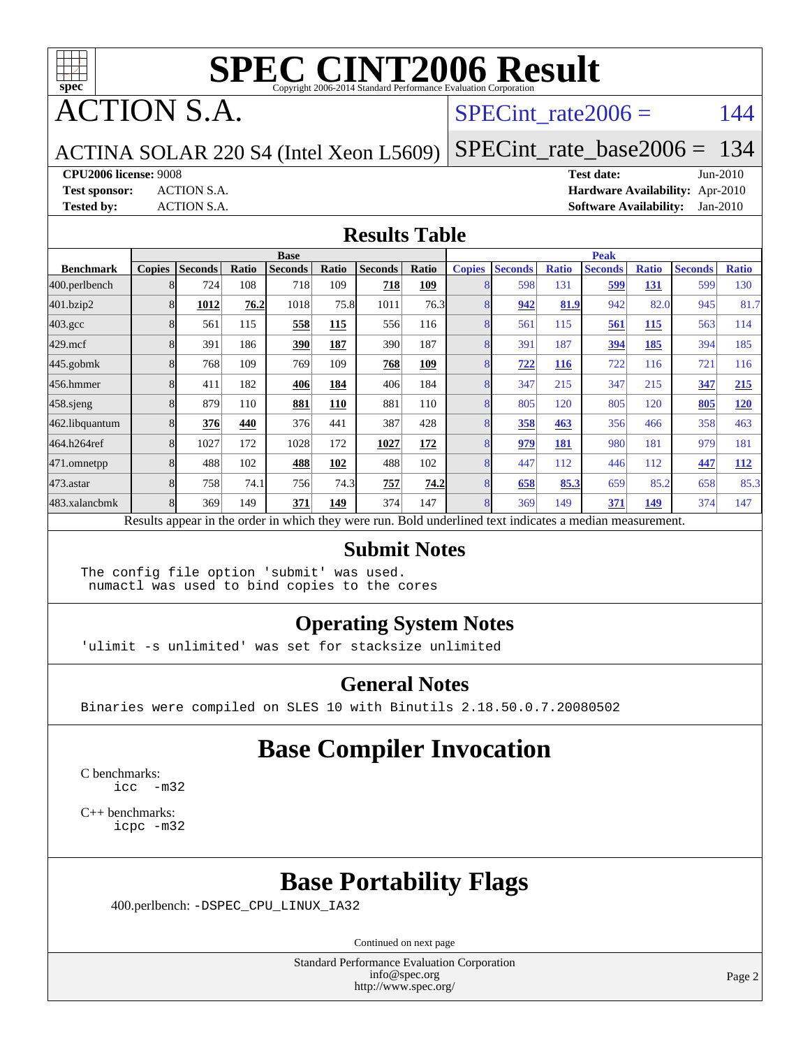

ACTION S.A.

#### SPECint rate $2006 = 144$

ACTINA SOLAR 220 S4 (Intel Xeon L5609)

[SPECint\\_rate\\_base2006 =](http://www.spec.org/auto/cpu2006/Docs/result-fields.html#SPECintratebase2006) 134

**[CPU2006 license:](http://www.spec.org/auto/cpu2006/Docs/result-fields.html#CPU2006license)** 9008 **[Test date:](http://www.spec.org/auto/cpu2006/Docs/result-fields.html#Testdate)** Jun-2010

**[Test sponsor:](http://www.spec.org/auto/cpu2006/Docs/result-fields.html#Testsponsor)** ACTION S.A. **[Hardware Availability:](http://www.spec.org/auto/cpu2006/Docs/result-fields.html#HardwareAvailability)** Apr-2010 **[Tested by:](http://www.spec.org/auto/cpu2006/Docs/result-fields.html#Testedby)** ACTION S.A. **[Software Availability:](http://www.spec.org/auto/cpu2006/Docs/result-fields.html#SoftwareAvailability)** Jan-2010

#### **[Results Table](http://www.spec.org/auto/cpu2006/Docs/result-fields.html#ResultsTable)**

|                    | <b>Base</b>   |                |       |                |       |                |       | <b>Peak</b>   |                |              |                                                                                                          |              |                |              |
|--------------------|---------------|----------------|-------|----------------|-------|----------------|-------|---------------|----------------|--------------|----------------------------------------------------------------------------------------------------------|--------------|----------------|--------------|
| <b>Benchmark</b>   | <b>Copies</b> | <b>Seconds</b> | Ratio | <b>Seconds</b> | Ratio | <b>Seconds</b> | Ratio | <b>Copies</b> | <b>Seconds</b> | <b>Ratio</b> | <b>Seconds</b>                                                                                           | <b>Ratio</b> | <b>Seconds</b> | <b>Ratio</b> |
| 400.perlbench      |               | 724            | 108   | 718            | 109   | 718            | 109   |               | 598            | 131          | 599                                                                                                      | 131          | 599            | 130          |
| 401.bzip2          |               | 1012           | 76.2  | 1018           | 75.8  | 1011           | 76.3  |               | 942            | 81.9         | 942                                                                                                      | 82.0         | 945            | 81.7         |
| $403.\mathrm{gcc}$ |               | 561            | 115   | 558            | 115   | 556            | 116   |               | 561            | 115          | 561                                                                                                      | 115          | 563            | 114          |
| $429$ .mcf         |               | 391            | 186   | 390            | 187   | 390            | 187   |               | 391            | 187          | 394                                                                                                      | 185          | 394            | 185          |
| $445$ .gobm $k$    |               | 768            | 109   | 769            | 109   | 768            | 109   |               | 722            | 116          | 722                                                                                                      | 116          | 721            | 116          |
| 456.hmmer          |               | 411            | 182   | 406            | 184   | 406            | 184   |               | 347            | 215          | 347                                                                                                      | 215          | 347            | 215          |
| 458.sjeng          |               | 879            | 110   | 881            | 110   | 881            | 110   |               | 805            | 120          | 805                                                                                                      | 120          | 805            | 120          |
| 462.libquantum     |               | 376            | 440   | 376            | 441   | 387            | 428   |               | 358            | 463          | 356                                                                                                      | 466          | 358            | 463          |
| 464.h264ref        |               | 1027           | 172   | 1028           | 172   | 1027           | 172   |               | 979            | 181          | 980                                                                                                      | 181          | 979            | 181          |
| 471.omnetpp        |               | 488            | 102   | 488            | 102   | 488            | 102   |               | 447            | 112          | 446                                                                                                      | 112          | 447            | <u>112</u>   |
| 473.astar          |               | 758            | 74.1  | 756            | 74.3  | 757            | 74.2  | 8             | 658            | 85.3         | 659                                                                                                      | 85.2         | 658            | 85.3         |
| 483.xalancbmk      |               | 369            | 149   | 371            | 149   | 374            | 147   |               | 369            | 149          | 371                                                                                                      | <u>149</u>   | 374            | 147          |
|                    |               |                |       |                |       |                |       |               |                |              | Results appear in the order in which they were run. Bold underlined text indicates a median measurement. |              |                |              |

#### **[Submit Notes](http://www.spec.org/auto/cpu2006/Docs/result-fields.html#SubmitNotes)**

The config file option 'submit' was used. numactl was used to bind copies to the cores

#### **[Operating System Notes](http://www.spec.org/auto/cpu2006/Docs/result-fields.html#OperatingSystemNotes)**

'ulimit -s unlimited' was set for stacksize unlimited

#### **[General Notes](http://www.spec.org/auto/cpu2006/Docs/result-fields.html#GeneralNotes)**

Binaries were compiled on SLES 10 with Binutils 2.18.50.0.7.20080502

### **[Base Compiler Invocation](http://www.spec.org/auto/cpu2006/Docs/result-fields.html#BaseCompilerInvocation)**

[C benchmarks](http://www.spec.org/auto/cpu2006/Docs/result-fields.html#Cbenchmarks): [icc -m32](http://www.spec.org/cpu2006/results/res2010q3/cpu2006-20100705-12186.flags.html#user_CCbase_intel_icc_32bit_5ff4a39e364c98233615fdd38438c6f2)

[C++ benchmarks:](http://www.spec.org/auto/cpu2006/Docs/result-fields.html#CXXbenchmarks) [icpc -m32](http://www.spec.org/cpu2006/results/res2010q3/cpu2006-20100705-12186.flags.html#user_CXXbase_intel_icpc_32bit_4e5a5ef1a53fd332b3c49e69c3330699)

### **[Base Portability Flags](http://www.spec.org/auto/cpu2006/Docs/result-fields.html#BasePortabilityFlags)**

400.perlbench: [-DSPEC\\_CPU\\_LINUX\\_IA32](http://www.spec.org/cpu2006/results/res2010q3/cpu2006-20100705-12186.flags.html#b400.perlbench_baseCPORTABILITY_DSPEC_CPU_LINUX_IA32)

Continued on next page

Standard Performance Evaluation Corporation [info@spec.org](mailto:info@spec.org) <http://www.spec.org/>

Page 2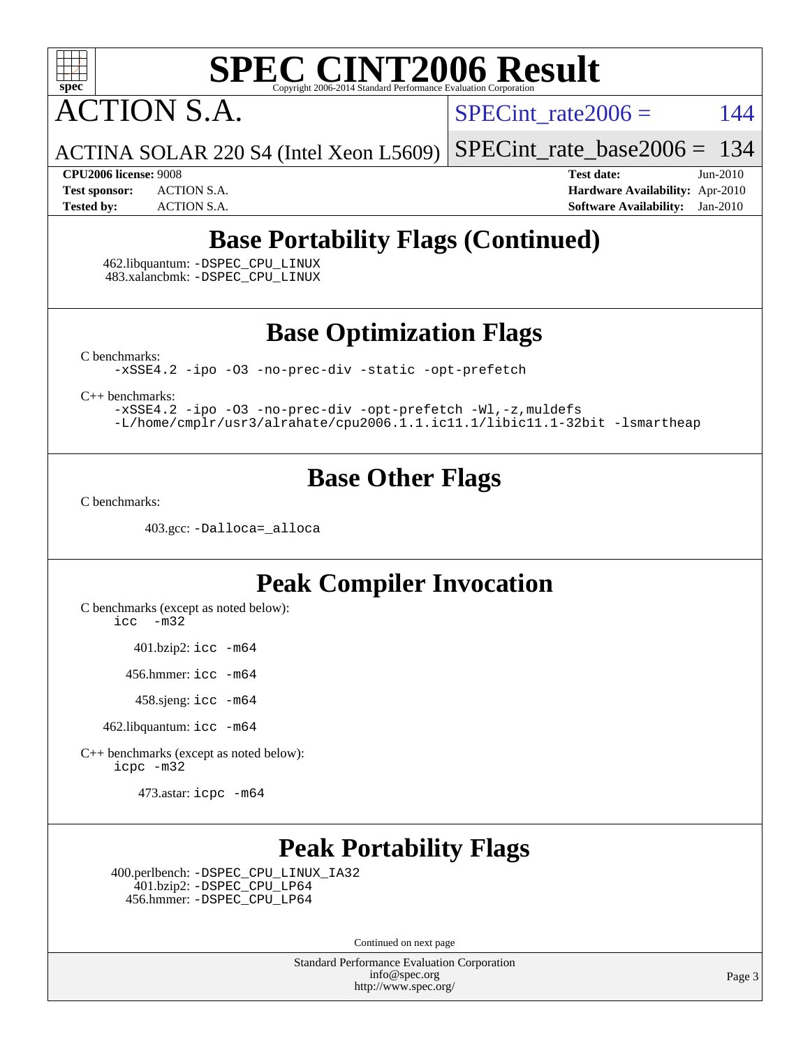

ACTION S.A.

SPECint rate $2006 = 144$ 

ACTINA SOLAR 220 S4 (Intel Xeon L5609)

[SPECint\\_rate\\_base2006 =](http://www.spec.org/auto/cpu2006/Docs/result-fields.html#SPECintratebase2006) 134

**[CPU2006 license:](http://www.spec.org/auto/cpu2006/Docs/result-fields.html#CPU2006license)** 9008 **[Test date:](http://www.spec.org/auto/cpu2006/Docs/result-fields.html#Testdate)** Jun-2010 **[Test sponsor:](http://www.spec.org/auto/cpu2006/Docs/result-fields.html#Testsponsor)** ACTION S.A. **[Hardware Availability:](http://www.spec.org/auto/cpu2006/Docs/result-fields.html#HardwareAvailability)** Apr-2010 **[Tested by:](http://www.spec.org/auto/cpu2006/Docs/result-fields.html#Testedby)** ACTION S.A. **[Software Availability:](http://www.spec.org/auto/cpu2006/Docs/result-fields.html#SoftwareAvailability)** Jan-2010

### **[Base Portability Flags \(Continued\)](http://www.spec.org/auto/cpu2006/Docs/result-fields.html#BasePortabilityFlags)**

 462.libquantum: [-DSPEC\\_CPU\\_LINUX](http://www.spec.org/cpu2006/results/res2010q3/cpu2006-20100705-12186.flags.html#b462.libquantum_baseCPORTABILITY_DSPEC_CPU_LINUX) 483.xalancbmk: [-DSPEC\\_CPU\\_LINUX](http://www.spec.org/cpu2006/results/res2010q3/cpu2006-20100705-12186.flags.html#b483.xalancbmk_baseCXXPORTABILITY_DSPEC_CPU_LINUX)

**[Base Optimization Flags](http://www.spec.org/auto/cpu2006/Docs/result-fields.html#BaseOptimizationFlags)**

[C benchmarks](http://www.spec.org/auto/cpu2006/Docs/result-fields.html#Cbenchmarks):

[-xSSE4.2](http://www.spec.org/cpu2006/results/res2010q3/cpu2006-20100705-12186.flags.html#user_CCbase_f-xSSE42_f91528193cf0b216347adb8b939d4107) [-ipo](http://www.spec.org/cpu2006/results/res2010q3/cpu2006-20100705-12186.flags.html#user_CCbase_f-ipo) [-O3](http://www.spec.org/cpu2006/results/res2010q3/cpu2006-20100705-12186.flags.html#user_CCbase_f-O3) [-no-prec-div](http://www.spec.org/cpu2006/results/res2010q3/cpu2006-20100705-12186.flags.html#user_CCbase_f-no-prec-div) [-static](http://www.spec.org/cpu2006/results/res2010q3/cpu2006-20100705-12186.flags.html#user_CCbase_f-static) [-opt-prefetch](http://www.spec.org/cpu2006/results/res2010q3/cpu2006-20100705-12186.flags.html#user_CCbase_f-opt-prefetch)

[C++ benchmarks:](http://www.spec.org/auto/cpu2006/Docs/result-fields.html#CXXbenchmarks)

[-xSSE4.2](http://www.spec.org/cpu2006/results/res2010q3/cpu2006-20100705-12186.flags.html#user_CXXbase_f-xSSE42_f91528193cf0b216347adb8b939d4107) [-ipo](http://www.spec.org/cpu2006/results/res2010q3/cpu2006-20100705-12186.flags.html#user_CXXbase_f-ipo) [-O3](http://www.spec.org/cpu2006/results/res2010q3/cpu2006-20100705-12186.flags.html#user_CXXbase_f-O3) [-no-prec-div](http://www.spec.org/cpu2006/results/res2010q3/cpu2006-20100705-12186.flags.html#user_CXXbase_f-no-prec-div) [-opt-prefetch](http://www.spec.org/cpu2006/results/res2010q3/cpu2006-20100705-12186.flags.html#user_CXXbase_f-opt-prefetch) [-Wl,-z,muldefs](http://www.spec.org/cpu2006/results/res2010q3/cpu2006-20100705-12186.flags.html#user_CXXbase_link_force_multiple1_74079c344b956b9658436fd1b6dd3a8a) [-L/home/cmplr/usr3/alrahate/cpu2006.1.1.ic11.1/libic11.1-32bit -lsmartheap](http://www.spec.org/cpu2006/results/res2010q3/cpu2006-20100705-12186.flags.html#user_CXXbase_SmartHeap_d86dffe4a79b79ef8890d5cce17030c3)

#### **[Base Other Flags](http://www.spec.org/auto/cpu2006/Docs/result-fields.html#BaseOtherFlags)**

[C benchmarks](http://www.spec.org/auto/cpu2006/Docs/result-fields.html#Cbenchmarks):

403.gcc: [-Dalloca=\\_alloca](http://www.spec.org/cpu2006/results/res2010q3/cpu2006-20100705-12186.flags.html#b403.gcc_baseEXTRA_CFLAGS_Dalloca_be3056838c12de2578596ca5467af7f3)

### **[Peak Compiler Invocation](http://www.spec.org/auto/cpu2006/Docs/result-fields.html#PeakCompilerInvocation)**

[C benchmarks \(except as noted below\)](http://www.spec.org/auto/cpu2006/Docs/result-fields.html#Cbenchmarksexceptasnotedbelow): [icc -m32](http://www.spec.org/cpu2006/results/res2010q3/cpu2006-20100705-12186.flags.html#user_CCpeak_intel_icc_32bit_5ff4a39e364c98233615fdd38438c6f2)

401.bzip2: [icc -m64](http://www.spec.org/cpu2006/results/res2010q3/cpu2006-20100705-12186.flags.html#user_peakCCLD401_bzip2_intel_icc_64bit_bda6cc9af1fdbb0edc3795bac97ada53)

456.hmmer: [icc -m64](http://www.spec.org/cpu2006/results/res2010q3/cpu2006-20100705-12186.flags.html#user_peakCCLD456_hmmer_intel_icc_64bit_bda6cc9af1fdbb0edc3795bac97ada53)

458.sjeng: [icc -m64](http://www.spec.org/cpu2006/results/res2010q3/cpu2006-20100705-12186.flags.html#user_peakCCLD458_sjeng_intel_icc_64bit_bda6cc9af1fdbb0edc3795bac97ada53)

462.libquantum: [icc -m64](http://www.spec.org/cpu2006/results/res2010q3/cpu2006-20100705-12186.flags.html#user_peakCCLD462_libquantum_intel_icc_64bit_bda6cc9af1fdbb0edc3795bac97ada53)

[C++ benchmarks \(except as noted below\):](http://www.spec.org/auto/cpu2006/Docs/result-fields.html#CXXbenchmarksexceptasnotedbelow) [icpc -m32](http://www.spec.org/cpu2006/results/res2010q3/cpu2006-20100705-12186.flags.html#user_CXXpeak_intel_icpc_32bit_4e5a5ef1a53fd332b3c49e69c3330699)

473.astar: [icpc -m64](http://www.spec.org/cpu2006/results/res2010q3/cpu2006-20100705-12186.flags.html#user_peakCXXLD473_astar_intel_icpc_64bit_fc66a5337ce925472a5c54ad6a0de310)

### **[Peak Portability Flags](http://www.spec.org/auto/cpu2006/Docs/result-fields.html#PeakPortabilityFlags)**

 400.perlbench: [-DSPEC\\_CPU\\_LINUX\\_IA32](http://www.spec.org/cpu2006/results/res2010q3/cpu2006-20100705-12186.flags.html#b400.perlbench_peakCPORTABILITY_DSPEC_CPU_LINUX_IA32) 401.bzip2: [-DSPEC\\_CPU\\_LP64](http://www.spec.org/cpu2006/results/res2010q3/cpu2006-20100705-12186.flags.html#suite_peakCPORTABILITY401_bzip2_DSPEC_CPU_LP64) 456.hmmer: [-DSPEC\\_CPU\\_LP64](http://www.spec.org/cpu2006/results/res2010q3/cpu2006-20100705-12186.flags.html#suite_peakCPORTABILITY456_hmmer_DSPEC_CPU_LP64)

Continued on next page

Standard Performance Evaluation Corporation [info@spec.org](mailto:info@spec.org) <http://www.spec.org/>

Page 3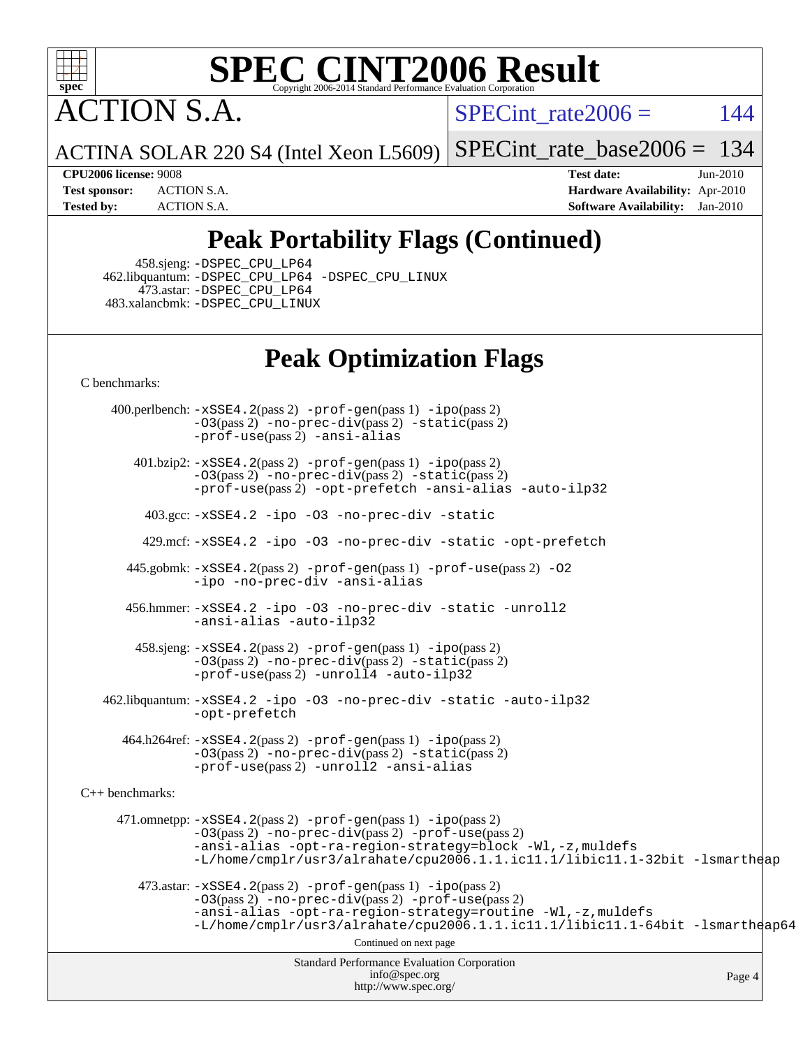

ACTION S.A.

SPECint rate $2006 = 144$ 

ACTINA SOLAR 220 S4 (Intel Xeon L5609)

[SPECint\\_rate\\_base2006 =](http://www.spec.org/auto/cpu2006/Docs/result-fields.html#SPECintratebase2006) 134

**[CPU2006 license:](http://www.spec.org/auto/cpu2006/Docs/result-fields.html#CPU2006license)** 9008 **[Test date:](http://www.spec.org/auto/cpu2006/Docs/result-fields.html#Testdate)** Jun-2010 **[Test sponsor:](http://www.spec.org/auto/cpu2006/Docs/result-fields.html#Testsponsor)** ACTION S.A. **[Hardware Availability:](http://www.spec.org/auto/cpu2006/Docs/result-fields.html#HardwareAvailability)** Apr-2010 **[Tested by:](http://www.spec.org/auto/cpu2006/Docs/result-fields.html#Testedby)** ACTION S.A. **[Software Availability:](http://www.spec.org/auto/cpu2006/Docs/result-fields.html#SoftwareAvailability)** Jan-2010

### **[Peak Portability Flags \(Continued\)](http://www.spec.org/auto/cpu2006/Docs/result-fields.html#PeakPortabilityFlags)**

458.sjeng: [-DSPEC\\_CPU\\_LP64](http://www.spec.org/cpu2006/results/res2010q3/cpu2006-20100705-12186.flags.html#suite_peakCPORTABILITY458_sjeng_DSPEC_CPU_LP64)

 462.libquantum: [-DSPEC\\_CPU\\_LP64](http://www.spec.org/cpu2006/results/res2010q3/cpu2006-20100705-12186.flags.html#suite_peakCPORTABILITY462_libquantum_DSPEC_CPU_LP64) [-DSPEC\\_CPU\\_LINUX](http://www.spec.org/cpu2006/results/res2010q3/cpu2006-20100705-12186.flags.html#b462.libquantum_peakCPORTABILITY_DSPEC_CPU_LINUX) 473.astar: [-DSPEC\\_CPU\\_LP64](http://www.spec.org/cpu2006/results/res2010q3/cpu2006-20100705-12186.flags.html#suite_peakCXXPORTABILITY473_astar_DSPEC_CPU_LP64) 483.xalancbmk: [-DSPEC\\_CPU\\_LINUX](http://www.spec.org/cpu2006/results/res2010q3/cpu2006-20100705-12186.flags.html#b483.xalancbmk_peakCXXPORTABILITY_DSPEC_CPU_LINUX)

#### **[Peak Optimization Flags](http://www.spec.org/auto/cpu2006/Docs/result-fields.html#PeakOptimizationFlags)**

[C benchmarks](http://www.spec.org/auto/cpu2006/Docs/result-fields.html#Cbenchmarks):

Standard Performance Evaluation Corporation [info@spec.org](mailto:info@spec.org) <http://www.spec.org/> Page 4 400.perlbench: [-xSSE4.2](http://www.spec.org/cpu2006/results/res2010q3/cpu2006-20100705-12186.flags.html#user_peakPASS2_CFLAGSPASS2_LDCFLAGS400_perlbench_f-xSSE42_f91528193cf0b216347adb8b939d4107)(pass 2) [-prof-gen](http://www.spec.org/cpu2006/results/res2010q3/cpu2006-20100705-12186.flags.html#user_peakPASS1_CFLAGSPASS1_LDCFLAGS400_perlbench_prof_gen_e43856698f6ca7b7e442dfd80e94a8fc)(pass 1) [-ipo](http://www.spec.org/cpu2006/results/res2010q3/cpu2006-20100705-12186.flags.html#user_peakPASS2_CFLAGSPASS2_LDCFLAGS400_perlbench_f-ipo)(pass 2) [-O3](http://www.spec.org/cpu2006/results/res2010q3/cpu2006-20100705-12186.flags.html#user_peakPASS2_CFLAGSPASS2_LDCFLAGS400_perlbench_f-O3)(pass 2) [-no-prec-div](http://www.spec.org/cpu2006/results/res2010q3/cpu2006-20100705-12186.flags.html#user_peakPASS2_CFLAGSPASS2_LDCFLAGS400_perlbench_f-no-prec-div)(pass 2) [-static](http://www.spec.org/cpu2006/results/res2010q3/cpu2006-20100705-12186.flags.html#user_peakPASS2_CFLAGSPASS2_LDCFLAGS400_perlbench_f-static)(pass 2) [-prof-use](http://www.spec.org/cpu2006/results/res2010q3/cpu2006-20100705-12186.flags.html#user_peakPASS2_CFLAGSPASS2_LDCFLAGS400_perlbench_prof_use_bccf7792157ff70d64e32fe3e1250b55)(pass 2) [-ansi-alias](http://www.spec.org/cpu2006/results/res2010q3/cpu2006-20100705-12186.flags.html#user_peakCOPTIMIZE400_perlbench_f-ansi-alias) 401.bzip2: [-xSSE4.2](http://www.spec.org/cpu2006/results/res2010q3/cpu2006-20100705-12186.flags.html#user_peakPASS2_CFLAGSPASS2_LDCFLAGS401_bzip2_f-xSSE42_f91528193cf0b216347adb8b939d4107)(pass 2) [-prof-gen](http://www.spec.org/cpu2006/results/res2010q3/cpu2006-20100705-12186.flags.html#user_peakPASS1_CFLAGSPASS1_LDCFLAGS401_bzip2_prof_gen_e43856698f6ca7b7e442dfd80e94a8fc)(pass 1) [-ipo](http://www.spec.org/cpu2006/results/res2010q3/cpu2006-20100705-12186.flags.html#user_peakPASS2_CFLAGSPASS2_LDCFLAGS401_bzip2_f-ipo)(pass 2) [-O3](http://www.spec.org/cpu2006/results/res2010q3/cpu2006-20100705-12186.flags.html#user_peakPASS2_CFLAGSPASS2_LDCFLAGS401_bzip2_f-O3)(pass 2) [-no-prec-div](http://www.spec.org/cpu2006/results/res2010q3/cpu2006-20100705-12186.flags.html#user_peakPASS2_CFLAGSPASS2_LDCFLAGS401_bzip2_f-no-prec-div)(pass 2) [-static](http://www.spec.org/cpu2006/results/res2010q3/cpu2006-20100705-12186.flags.html#user_peakPASS2_CFLAGSPASS2_LDCFLAGS401_bzip2_f-static)(pass 2) [-prof-use](http://www.spec.org/cpu2006/results/res2010q3/cpu2006-20100705-12186.flags.html#user_peakPASS2_CFLAGSPASS2_LDCFLAGS401_bzip2_prof_use_bccf7792157ff70d64e32fe3e1250b55)(pass 2) [-opt-prefetch](http://www.spec.org/cpu2006/results/res2010q3/cpu2006-20100705-12186.flags.html#user_peakCOPTIMIZE401_bzip2_f-opt-prefetch) [-ansi-alias](http://www.spec.org/cpu2006/results/res2010q3/cpu2006-20100705-12186.flags.html#user_peakCOPTIMIZE401_bzip2_f-ansi-alias) [-auto-ilp32](http://www.spec.org/cpu2006/results/res2010q3/cpu2006-20100705-12186.flags.html#user_peakCOPTIMIZE401_bzip2_f-auto-ilp32) 403.gcc: [-xSSE4.2](http://www.spec.org/cpu2006/results/res2010q3/cpu2006-20100705-12186.flags.html#user_peakCOPTIMIZE403_gcc_f-xSSE42_f91528193cf0b216347adb8b939d4107) [-ipo](http://www.spec.org/cpu2006/results/res2010q3/cpu2006-20100705-12186.flags.html#user_peakCOPTIMIZE403_gcc_f-ipo) [-O3](http://www.spec.org/cpu2006/results/res2010q3/cpu2006-20100705-12186.flags.html#user_peakCOPTIMIZE403_gcc_f-O3) [-no-prec-div](http://www.spec.org/cpu2006/results/res2010q3/cpu2006-20100705-12186.flags.html#user_peakCOPTIMIZE403_gcc_f-no-prec-div) [-static](http://www.spec.org/cpu2006/results/res2010q3/cpu2006-20100705-12186.flags.html#user_peakCOPTIMIZE403_gcc_f-static) 429.mcf: [-xSSE4.2](http://www.spec.org/cpu2006/results/res2010q3/cpu2006-20100705-12186.flags.html#user_peakCOPTIMIZE429_mcf_f-xSSE42_f91528193cf0b216347adb8b939d4107) [-ipo](http://www.spec.org/cpu2006/results/res2010q3/cpu2006-20100705-12186.flags.html#user_peakCOPTIMIZE429_mcf_f-ipo) [-O3](http://www.spec.org/cpu2006/results/res2010q3/cpu2006-20100705-12186.flags.html#user_peakCOPTIMIZE429_mcf_f-O3) [-no-prec-div](http://www.spec.org/cpu2006/results/res2010q3/cpu2006-20100705-12186.flags.html#user_peakCOPTIMIZE429_mcf_f-no-prec-div) [-static](http://www.spec.org/cpu2006/results/res2010q3/cpu2006-20100705-12186.flags.html#user_peakCOPTIMIZE429_mcf_f-static) [-opt-prefetch](http://www.spec.org/cpu2006/results/res2010q3/cpu2006-20100705-12186.flags.html#user_peakCOPTIMIZE429_mcf_f-opt-prefetch) 445.gobmk: [-xSSE4.2](http://www.spec.org/cpu2006/results/res2010q3/cpu2006-20100705-12186.flags.html#user_peakPASS2_CFLAGSPASS2_LDCFLAGS445_gobmk_f-xSSE42_f91528193cf0b216347adb8b939d4107)(pass 2) [-prof-gen](http://www.spec.org/cpu2006/results/res2010q3/cpu2006-20100705-12186.flags.html#user_peakPASS1_CFLAGSPASS1_LDCFLAGS445_gobmk_prof_gen_e43856698f6ca7b7e442dfd80e94a8fc)(pass 1) [-prof-use](http://www.spec.org/cpu2006/results/res2010q3/cpu2006-20100705-12186.flags.html#user_peakPASS2_CFLAGSPASS2_LDCFLAGS445_gobmk_prof_use_bccf7792157ff70d64e32fe3e1250b55)(pass 2) [-O2](http://www.spec.org/cpu2006/results/res2010q3/cpu2006-20100705-12186.flags.html#user_peakCOPTIMIZE445_gobmk_f-O2) [-ipo](http://www.spec.org/cpu2006/results/res2010q3/cpu2006-20100705-12186.flags.html#user_peakCOPTIMIZE445_gobmk_f-ipo) [-no-prec-div](http://www.spec.org/cpu2006/results/res2010q3/cpu2006-20100705-12186.flags.html#user_peakCOPTIMIZE445_gobmk_f-no-prec-div) [-ansi-alias](http://www.spec.org/cpu2006/results/res2010q3/cpu2006-20100705-12186.flags.html#user_peakCOPTIMIZE445_gobmk_f-ansi-alias) 456.hmmer: [-xSSE4.2](http://www.spec.org/cpu2006/results/res2010q3/cpu2006-20100705-12186.flags.html#user_peakCOPTIMIZE456_hmmer_f-xSSE42_f91528193cf0b216347adb8b939d4107) [-ipo](http://www.spec.org/cpu2006/results/res2010q3/cpu2006-20100705-12186.flags.html#user_peakCOPTIMIZE456_hmmer_f-ipo) [-O3](http://www.spec.org/cpu2006/results/res2010q3/cpu2006-20100705-12186.flags.html#user_peakCOPTIMIZE456_hmmer_f-O3) [-no-prec-div](http://www.spec.org/cpu2006/results/res2010q3/cpu2006-20100705-12186.flags.html#user_peakCOPTIMIZE456_hmmer_f-no-prec-div) [-static](http://www.spec.org/cpu2006/results/res2010q3/cpu2006-20100705-12186.flags.html#user_peakCOPTIMIZE456_hmmer_f-static) [-unroll2](http://www.spec.org/cpu2006/results/res2010q3/cpu2006-20100705-12186.flags.html#user_peakCOPTIMIZE456_hmmer_f-unroll_784dae83bebfb236979b41d2422d7ec2) [-ansi-alias](http://www.spec.org/cpu2006/results/res2010q3/cpu2006-20100705-12186.flags.html#user_peakCOPTIMIZE456_hmmer_f-ansi-alias) [-auto-ilp32](http://www.spec.org/cpu2006/results/res2010q3/cpu2006-20100705-12186.flags.html#user_peakCOPTIMIZE456_hmmer_f-auto-ilp32) 458.sjeng: [-xSSE4.2](http://www.spec.org/cpu2006/results/res2010q3/cpu2006-20100705-12186.flags.html#user_peakPASS2_CFLAGSPASS2_LDCFLAGS458_sjeng_f-xSSE42_f91528193cf0b216347adb8b939d4107)(pass 2) [-prof-gen](http://www.spec.org/cpu2006/results/res2010q3/cpu2006-20100705-12186.flags.html#user_peakPASS1_CFLAGSPASS1_LDCFLAGS458_sjeng_prof_gen_e43856698f6ca7b7e442dfd80e94a8fc)(pass 1) [-ipo](http://www.spec.org/cpu2006/results/res2010q3/cpu2006-20100705-12186.flags.html#user_peakPASS2_CFLAGSPASS2_LDCFLAGS458_sjeng_f-ipo)(pass 2) [-O3](http://www.spec.org/cpu2006/results/res2010q3/cpu2006-20100705-12186.flags.html#user_peakPASS2_CFLAGSPASS2_LDCFLAGS458_sjeng_f-O3)(pass 2) [-no-prec-div](http://www.spec.org/cpu2006/results/res2010q3/cpu2006-20100705-12186.flags.html#user_peakPASS2_CFLAGSPASS2_LDCFLAGS458_sjeng_f-no-prec-div)(pass 2) [-static](http://www.spec.org/cpu2006/results/res2010q3/cpu2006-20100705-12186.flags.html#user_peakPASS2_CFLAGSPASS2_LDCFLAGS458_sjeng_f-static)(pass 2) [-prof-use](http://www.spec.org/cpu2006/results/res2010q3/cpu2006-20100705-12186.flags.html#user_peakPASS2_CFLAGSPASS2_LDCFLAGS458_sjeng_prof_use_bccf7792157ff70d64e32fe3e1250b55)(pass 2) [-unroll4](http://www.spec.org/cpu2006/results/res2010q3/cpu2006-20100705-12186.flags.html#user_peakCOPTIMIZE458_sjeng_f-unroll_4e5e4ed65b7fd20bdcd365bec371b81f) [-auto-ilp32](http://www.spec.org/cpu2006/results/res2010q3/cpu2006-20100705-12186.flags.html#user_peakCOPTIMIZE458_sjeng_f-auto-ilp32) 462.libquantum: [-xSSE4.2](http://www.spec.org/cpu2006/results/res2010q3/cpu2006-20100705-12186.flags.html#user_peakCOPTIMIZE462_libquantum_f-xSSE42_f91528193cf0b216347adb8b939d4107) [-ipo](http://www.spec.org/cpu2006/results/res2010q3/cpu2006-20100705-12186.flags.html#user_peakCOPTIMIZE462_libquantum_f-ipo) [-O3](http://www.spec.org/cpu2006/results/res2010q3/cpu2006-20100705-12186.flags.html#user_peakCOPTIMIZE462_libquantum_f-O3) [-no-prec-div](http://www.spec.org/cpu2006/results/res2010q3/cpu2006-20100705-12186.flags.html#user_peakCOPTIMIZE462_libquantum_f-no-prec-div) [-static](http://www.spec.org/cpu2006/results/res2010q3/cpu2006-20100705-12186.flags.html#user_peakCOPTIMIZE462_libquantum_f-static) [-auto-ilp32](http://www.spec.org/cpu2006/results/res2010q3/cpu2006-20100705-12186.flags.html#user_peakCOPTIMIZE462_libquantum_f-auto-ilp32) [-opt-prefetch](http://www.spec.org/cpu2006/results/res2010q3/cpu2006-20100705-12186.flags.html#user_peakCOPTIMIZE462_libquantum_f-opt-prefetch) 464.h264ref: [-xSSE4.2](http://www.spec.org/cpu2006/results/res2010q3/cpu2006-20100705-12186.flags.html#user_peakPASS2_CFLAGSPASS2_LDCFLAGS464_h264ref_f-xSSE42_f91528193cf0b216347adb8b939d4107)(pass 2) [-prof-gen](http://www.spec.org/cpu2006/results/res2010q3/cpu2006-20100705-12186.flags.html#user_peakPASS1_CFLAGSPASS1_LDCFLAGS464_h264ref_prof_gen_e43856698f6ca7b7e442dfd80e94a8fc)(pass 1) [-ipo](http://www.spec.org/cpu2006/results/res2010q3/cpu2006-20100705-12186.flags.html#user_peakPASS2_CFLAGSPASS2_LDCFLAGS464_h264ref_f-ipo)(pass 2) [-O3](http://www.spec.org/cpu2006/results/res2010q3/cpu2006-20100705-12186.flags.html#user_peakPASS2_CFLAGSPASS2_LDCFLAGS464_h264ref_f-O3)(pass 2) [-no-prec-div](http://www.spec.org/cpu2006/results/res2010q3/cpu2006-20100705-12186.flags.html#user_peakPASS2_CFLAGSPASS2_LDCFLAGS464_h264ref_f-no-prec-div)(pass 2) [-static](http://www.spec.org/cpu2006/results/res2010q3/cpu2006-20100705-12186.flags.html#user_peakPASS2_CFLAGSPASS2_LDCFLAGS464_h264ref_f-static)(pass 2) [-prof-use](http://www.spec.org/cpu2006/results/res2010q3/cpu2006-20100705-12186.flags.html#user_peakPASS2_CFLAGSPASS2_LDCFLAGS464_h264ref_prof_use_bccf7792157ff70d64e32fe3e1250b55)(pass 2) [-unroll2](http://www.spec.org/cpu2006/results/res2010q3/cpu2006-20100705-12186.flags.html#user_peakCOPTIMIZE464_h264ref_f-unroll_784dae83bebfb236979b41d2422d7ec2) [-ansi-alias](http://www.spec.org/cpu2006/results/res2010q3/cpu2006-20100705-12186.flags.html#user_peakCOPTIMIZE464_h264ref_f-ansi-alias) [C++ benchmarks:](http://www.spec.org/auto/cpu2006/Docs/result-fields.html#CXXbenchmarks) 471.omnetpp: [-xSSE4.2](http://www.spec.org/cpu2006/results/res2010q3/cpu2006-20100705-12186.flags.html#user_peakPASS2_CXXFLAGSPASS2_LDCXXFLAGS471_omnetpp_f-xSSE42_f91528193cf0b216347adb8b939d4107)(pass 2) [-prof-gen](http://www.spec.org/cpu2006/results/res2010q3/cpu2006-20100705-12186.flags.html#user_peakPASS1_CXXFLAGSPASS1_LDCXXFLAGS471_omnetpp_prof_gen_e43856698f6ca7b7e442dfd80e94a8fc)(pass 1) [-ipo](http://www.spec.org/cpu2006/results/res2010q3/cpu2006-20100705-12186.flags.html#user_peakPASS2_CXXFLAGSPASS2_LDCXXFLAGS471_omnetpp_f-ipo)(pass 2) [-O3](http://www.spec.org/cpu2006/results/res2010q3/cpu2006-20100705-12186.flags.html#user_peakPASS2_CXXFLAGSPASS2_LDCXXFLAGS471_omnetpp_f-O3)(pass 2) [-no-prec-div](http://www.spec.org/cpu2006/results/res2010q3/cpu2006-20100705-12186.flags.html#user_peakPASS2_CXXFLAGSPASS2_LDCXXFLAGS471_omnetpp_f-no-prec-div)(pass 2) [-prof-use](http://www.spec.org/cpu2006/results/res2010q3/cpu2006-20100705-12186.flags.html#user_peakPASS2_CXXFLAGSPASS2_LDCXXFLAGS471_omnetpp_prof_use_bccf7792157ff70d64e32fe3e1250b55)(pass 2) [-ansi-alias](http://www.spec.org/cpu2006/results/res2010q3/cpu2006-20100705-12186.flags.html#user_peakCXXOPTIMIZE471_omnetpp_f-ansi-alias) [-opt-ra-region-strategy=block](http://www.spec.org/cpu2006/results/res2010q3/cpu2006-20100705-12186.flags.html#user_peakCXXOPTIMIZE471_omnetpp_f-opt-ra-region-strategy-block_a0a37c372d03933b2a18d4af463c1f69) [-Wl,-z,muldefs](http://www.spec.org/cpu2006/results/res2010q3/cpu2006-20100705-12186.flags.html#user_peakEXTRA_LDFLAGS471_omnetpp_link_force_multiple1_74079c344b956b9658436fd1b6dd3a8a) [-L/home/cmplr/usr3/alrahate/cpu2006.1.1.ic11.1/libic11.1-32bit -lsmartheap](http://www.spec.org/cpu2006/results/res2010q3/cpu2006-20100705-12186.flags.html#user_peakEXTRA_LIBS471_omnetpp_SmartHeap_d86dffe4a79b79ef8890d5cce17030c3) 473.astar: [-xSSE4.2](http://www.spec.org/cpu2006/results/res2010q3/cpu2006-20100705-12186.flags.html#user_peakPASS2_CXXFLAGSPASS2_LDCXXFLAGS473_astar_f-xSSE42_f91528193cf0b216347adb8b939d4107)(pass 2) [-prof-gen](http://www.spec.org/cpu2006/results/res2010q3/cpu2006-20100705-12186.flags.html#user_peakPASS1_CXXFLAGSPASS1_LDCXXFLAGS473_astar_prof_gen_e43856698f6ca7b7e442dfd80e94a8fc)(pass 1) [-ipo](http://www.spec.org/cpu2006/results/res2010q3/cpu2006-20100705-12186.flags.html#user_peakPASS2_CXXFLAGSPASS2_LDCXXFLAGS473_astar_f-ipo)(pass 2) [-O3](http://www.spec.org/cpu2006/results/res2010q3/cpu2006-20100705-12186.flags.html#user_peakPASS2_CXXFLAGSPASS2_LDCXXFLAGS473_astar_f-O3)(pass 2) [-no-prec-div](http://www.spec.org/cpu2006/results/res2010q3/cpu2006-20100705-12186.flags.html#user_peakPASS2_CXXFLAGSPASS2_LDCXXFLAGS473_astar_f-no-prec-div)(pass 2) [-prof-use](http://www.spec.org/cpu2006/results/res2010q3/cpu2006-20100705-12186.flags.html#user_peakPASS2_CXXFLAGSPASS2_LDCXXFLAGS473_astar_prof_use_bccf7792157ff70d64e32fe3e1250b55)(pass 2) [-ansi-alias](http://www.spec.org/cpu2006/results/res2010q3/cpu2006-20100705-12186.flags.html#user_peakCXXOPTIMIZE473_astar_f-ansi-alias) [-opt-ra-region-strategy=routine](http://www.spec.org/cpu2006/results/res2010q3/cpu2006-20100705-12186.flags.html#user_peakCXXOPTIMIZE473_astar_f-opt-ra-region-strategy-routine_ba086ea3b1d46a52e1238e2ca173ed44) [-Wl,-z,muldefs](http://www.spec.org/cpu2006/results/res2010q3/cpu2006-20100705-12186.flags.html#user_peakEXTRA_LDFLAGS473_astar_link_force_multiple1_74079c344b956b9658436fd1b6dd3a8a) [-L/home/cmplr/usr3/alrahate/cpu2006.1.1.ic11.1/libic11.1-64bit -lsmartheap64](http://www.spec.org/cpu2006/results/res2010q3/cpu2006-20100705-12186.flags.html#user_peakEXTRA_LIBS473_astar_SmartHeap64_e2306cda84805d1ab360117a79ff779c) Continued on next page